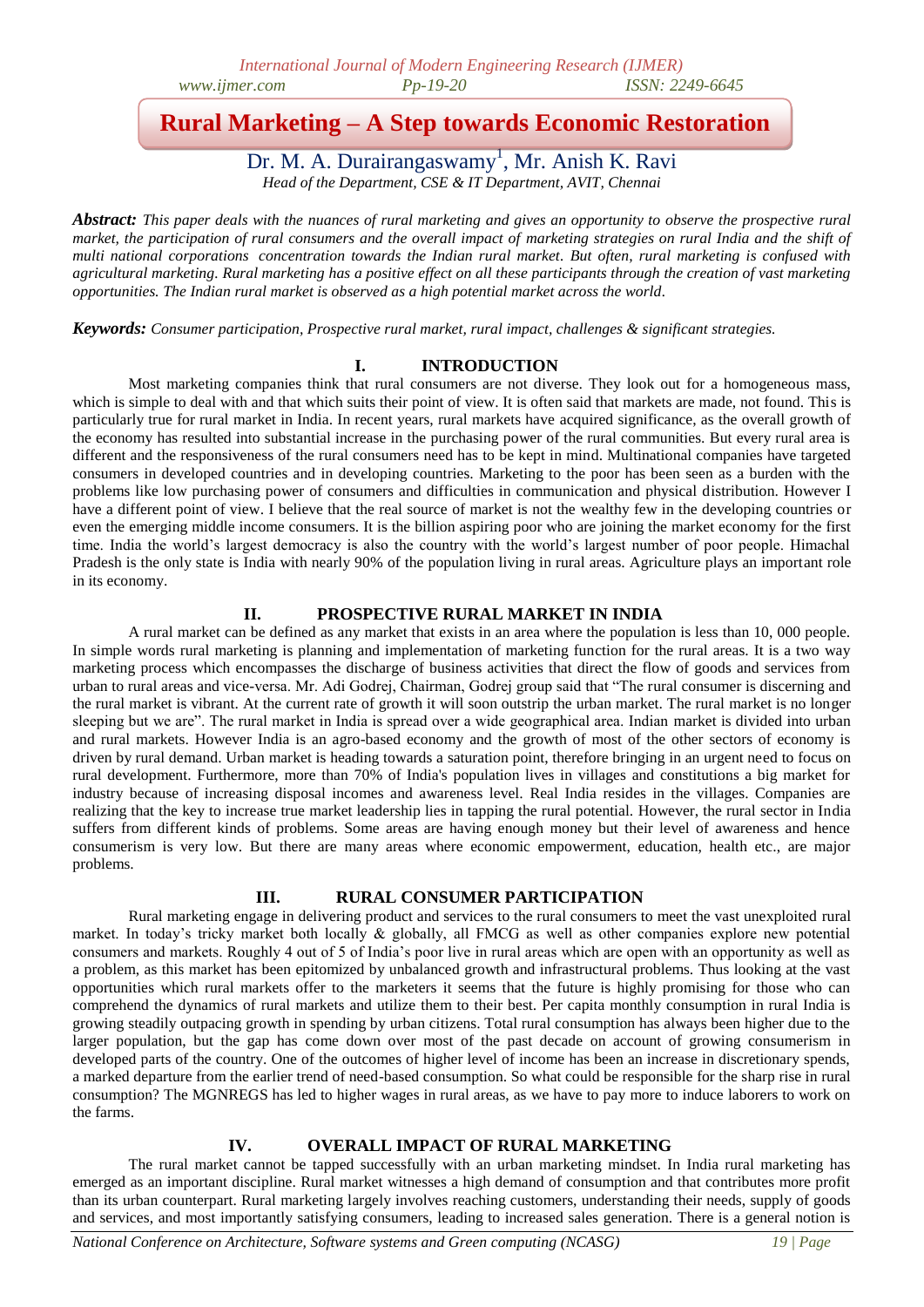# **Rural Marketing – A Step towards Economic Restoration**

Dr. M. A. Durairangaswamy<sup>1</sup>, Mr. Anish K. Ravi *Head of the Department, CSE & IT Department, AVIT, Chennai*

*Abstract: This paper deals with the nuances of rural marketing and gives an opportunity to observe the prospective rural market, the participation of rural consumers and the overall impact of marketing strategies on rural India and the shift of multi national corporations concentration towards the Indian rural market. But often, rural marketing is confused with agricultural marketing. Rural marketing has a positive effect on all these participants through the creation of vast marketing opportunities. The Indian rural market is observed as a high potential market across the world.*

*Keywords: Consumer participation, Prospective rural market, rural impact, challenges & significant strategies.*

### **I. INTRODUCTION**

Most marketing companies think that rural consumers are not diverse. They look out for a homogeneous mass, which is simple to deal with and that which suits their point of view. It is often said that markets are made, not found. This is particularly true for rural market in India. In recent years, rural markets have acquired significance, as the overall growth of the economy has resulted into substantial increase in the purchasing power of the rural communities. But every rural area is different and the responsiveness of the rural consumers need has to be kept in mind. Multinational companies have targeted consumers in developed countries and in developing countries. Marketing to the poor has been seen as a burden with the problems like low purchasing power of consumers and difficulties in communication and physical distribution. However I have a different point of view. I believe that the real source of market is not the wealthy few in the developing countries or even the emerging middle income consumers. It is the billion aspiring poor who are joining the market economy for the first time. India the world's largest democracy is also the country with the world's largest number of poor people. Himachal Pradesh is the only state is India with nearly 90% of the population living in rural areas. Agriculture plays an important role in its economy.

#### **II. PROSPECTIVE RURAL MARKET IN INDIA**

A rural market can be defined as any market that exists in an area where the population is less than 10, 000 people. In simple words rural marketing is planning and implementation of marketing function for the rural areas. It is a two way marketing process which encompasses the discharge of business activities that direct the flow of goods and services from urban to rural areas and vice-versa. Mr. Adi Godrej, Chairman, Godrej group said that "The rural consumer is discerning and the rural market is vibrant. At the current rate of growth it will soon outstrip the urban market. The rural market is no longer sleeping but we are". The rural market in India is spread over a wide geographical area. Indian market is divided into urban and rural markets. However India is an agro-based economy and the growth of most of the other sectors of economy is driven by rural demand. Urban market is heading towards a saturation point, therefore bringing in an urgent need to focus on rural development. Furthermore, more than 70% of India's population lives in villages and constitutions a big market for industry because of increasing disposal incomes and awareness level. Real India resides in the villages. Companies are realizing that the key to increase true market leadership lies in tapping the rural potential. However, the rural sector in India suffers from different kinds of problems. Some areas are having enough money but their level of awareness and hence consumerism is very low. But there are many areas where economic empowerment, education, health etc., are major problems.

#### **III. RURAL CONSUMER PARTICIPATION**

Rural marketing engage in delivering product and services to the rural consumers to meet the vast unexploited rural market. In today's tricky market both locally & globally, all FMCG as well as other companies explore new potential consumers and markets. Roughly 4 out of 5 of India's poor live in rural areas which are open with an opportunity as well as a problem, as this market has been epitomized by unbalanced growth and infrastructural problems. Thus looking at the vast opportunities which rural markets offer to the marketers it seems that the future is highly promising for those who can comprehend the dynamics of rural markets and utilize them to their best. Per capita monthly consumption in rural India is growing steadily outpacing growth in spending by urban citizens. Total rural consumption has always been higher due to the larger population, but the gap has come down over most of the past decade on account of growing consumerism in developed parts of the country. One of the outcomes of higher level of income has been an increase in discretionary spends, a marked departure from the earlier trend of need-based consumption. So what could be responsible for the sharp rise in rural consumption? The MGNREGS has led to higher wages in rural areas, as we have to pay more to induce laborers to work on the farms.

## **IV. OVERALL IMPACT OF RURAL MARKETING**

The rural market cannot be tapped successfully with an urban marketing mindset. In India rural marketing has emerged as an important discipline. Rural market witnesses a high demand of consumption and that contributes more profit than its urban counterpart. Rural marketing largely involves reaching customers, understanding their needs, supply of goods and services, and most importantly satisfying consumers, leading to increased sales generation. There is a general notion is